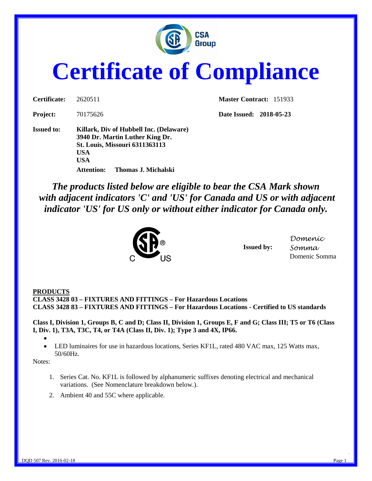

# **Certificate of Compliance**

| <b>Certificate:</b> | 2620511                                                                                                                           |                                       |  |
|---------------------|-----------------------------------------------------------------------------------------------------------------------------------|---------------------------------------|--|
| Project:            | 70175626                                                                                                                          |                                       |  |
| <b>Issued to:</b>   | Killark, Div of Hubbell Inc. (Delaware)<br>3940 Dr. Martin Luther King Dr.<br><b>St. Louis, Missouri 6311363113</b><br>USA<br>USA |                                       |  |
|                     |                                                                                                                                   | <b>Attention:</b> Thomas J. Michalski |  |

**Master Contract:** 151933

**Project:** 70175626 **Date Issued: 2018-05-23**

*The products listed below are eligible to bear the CSA Mark shown with adjacent indicators 'C' and 'US' for Canada and US or with adjacent indicator 'US' for US only or without either indicator for Canada only.*



**Issued by:**

*Domenic Somma* Domenic Somma

#### **PRODUCTS**

**CLASS 3428 03 – FIXTURES AND FITTINGS – For Hazardous Locations CLASS 3428 83 – FIXTURES AND FITTINGS – For Hazardous Locations - Certified to US standards**

**Class I, Division 1, Groups B, C and D; Class II, Division 1, Groups E, F and G; Class III; T5 or T6 (Class I, Div. 1), T3A, T3C, T4, or T4A (Class II, Div. 1); Type 3 and 4X, IP66.**

•

• LED luminaires for use in hazardous locations, Series KF1L, rated 480 VAC max, 125 Watts max, 50/60Hz.

Notes:

- 1. Series Cat. No. KF1L is followed by alphanumeric suffixes denoting electrical and mechanical variations. (See Nomenclature breakdown below.).
- 2. Ambient 40 and 55C where applicable.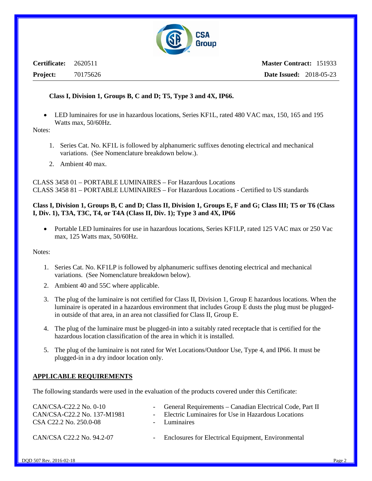

**Certificate:** 2620511 **Project:** 70175626

#### **Class I, Division 1, Groups B, C and D; T5, Type 3 and 4X, IP66.**

• LED luminaires for use in hazardous locations, Series KF1L, rated 480 VAC max, 150, 165 and 195 Watts max, 50/60Hz.

Notes:

- 1. Series Cat. No. KF1L is followed by alphanumeric suffixes denoting electrical and mechanical variations. (See Nomenclature breakdown below.).
- 2. Ambient 40 max.

CLASS 3458 01 – PORTABLE LUMINAIRES – For Hazardous Locations CLASS 3458 81 – PORTABLE LUMINAIRES – For Hazardous Locations - Certified to US standards

#### **Class I, Division 1, Groups B, C and D; Class II, Division 1, Groups E, F and G; Class III; T5 or T6 (Class I, Div. 1), T3A, T3C, T4, or T4A (Class II, Div. 1); Type 3 and 4X, IP66**

• Portable LED luminaires for use in hazardous locations, Series KF1LP, rated 125 VAC max or 250 Vac max, 125 Watts max, 50/60Hz.

Notes:

- 1. Series Cat. No. KF1LP is followed by alphanumeric suffixes denoting electrical and mechanical variations. (See Nomenclature breakdown below).
- 2. Ambient 40 and 55C where applicable.
- 3. The plug of the luminaire is not certified for Class II, Division 1, Group E hazardous locations. When the luminaire is operated in a hazardous environment that includes Group E dusts the plug must be pluggedin outside of that area, in an area not classified for Class II, Group E.
- 4. The plug of the luminaire must be plugged-in into a suitably rated receptacle that is certified for the hazardous location classification of the area in which it is installed.
- 5. The plug of the luminaire is not rated for Wet Locations/Outdoor Use, Type 4, and IP66. It must be plugged-in in a dry indoor location only.

#### **APPLICABLE REQUIREMENTS**

The following standards were used in the evaluation of the products covered under this Certificate:

| CAN/CSA-C22.2 No. 0-10<br>CAN/CSA-C22.2 No. 137-M1981<br>CSA C22.2 No. 250.0-08 | - General Requirements – Canadian Electrical Code, Part II<br>- Electric Luminaires for Use in Hazardous Locations<br>- Luminaires |
|---------------------------------------------------------------------------------|------------------------------------------------------------------------------------------------------------------------------------|
| CAN/CSA C22.2 No. 94.2-07                                                       | - Enclosures for Electrical Equipment, Environmental                                                                               |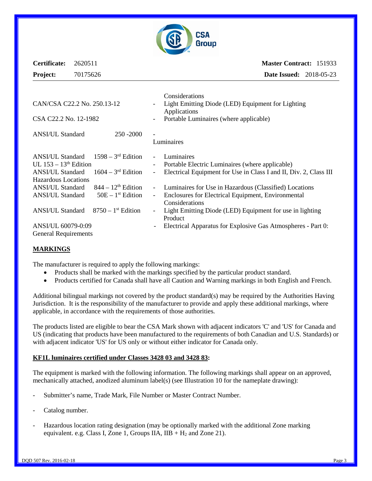

| Certificate: 2620511 |          |                | <b>Master Contract: 151933</b> |  |
|----------------------|----------|----------------|--------------------------------|--|
| <b>Project:</b>      | 70175626 |                | <b>Date Issued:</b> 2018-05-23 |  |
|                      |          | Considerations |                                |  |

| CAN/CSA C22.2 No. 250.13-12<br>CSA C22.2 No. 12-1982                                                             |                                                             |                                      | Light Emitting Diode (LED) Equipment for Lighting<br>Applications                                                                  |  |
|------------------------------------------------------------------------------------------------------------------|-------------------------------------------------------------|--------------------------------------|------------------------------------------------------------------------------------------------------------------------------------|--|
|                                                                                                                  |                                                             |                                      | Portable Luminaires (where applicable)                                                                                             |  |
| <b>ANSI/UL Standard</b>                                                                                          | 250 - 2000                                                  |                                      | Luminaires                                                                                                                         |  |
| <b>ANSI/UL Standard</b><br>UL $153 - 13$ <sup>th</sup> Edition<br><b>ANSI/UL Standard</b><br>Hazardous Locations | $1598 - 3^{rd}$ Edition<br>$1604 - 3$ <sup>rd</sup> Edition | $\overline{\phantom{a}}$             | Luminaires<br>Portable Electric Luminaires (where applicable)<br>Electrical Equipment for Use in Class I and II, Div. 2, Class III |  |
| <b>ANSI/UL Standard</b><br><b>ANSI/UL Standard</b>                                                               | $844 - 12th$ Edition<br>$50E - 1st$ Edition                 | $\omega$<br>$\overline{\phantom{a}}$ | Luminaires for Use in Hazardous (Classified) Locations<br>Enclosures for Electrical Equipment, Environmental<br>Considerations     |  |
| <b>ANSI/UL Standard</b>                                                                                          | $8750 - 1$ <sup>st</sup> Edition                            | $\overline{\phantom{a}}$             | Light Emitting Diode (LED) Equipment for use in lighting<br>Product                                                                |  |
| ANSI/UL 60079-0:09<br><b>General Requirements</b>                                                                |                                                             | $\overline{\phantom{a}}$             | Electrical Apparatus for Explosive Gas Atmospheres - Part 0:                                                                       |  |

#### **MARKINGS**

The manufacturer is required to apply the following markings:

- Products shall be marked with the markings specified by the particular product standard.
- Products certified for Canada shall have all Caution and Warning markings in both English and French.

Additional bilingual markings not covered by the product standard(s) may be required by the Authorities Having Jurisdiction. It is the responsibility of the manufacturer to provide and apply these additional markings, where applicable, in accordance with the requirements of those authorities.

The products listed are eligible to bear the CSA Mark shown with adjacent indicators 'C' and 'US' for Canada and US (indicating that products have been manufactured to the requirements of both Canadian and U.S. Standards) or with adjacent indicator 'US' for US only or without either indicator for Canada only.

#### **KF1L luminaires certified under Classes 3428 03 and 3428 83:**

The equipment is marked with the following information. The following markings shall appear on an approved, mechanically attached, anodized aluminum label(s) (see Illustration 10 for the nameplate drawing):

- Submitter's name, Trade Mark, File Number or Master Contract Number.
- Catalog number.
- Hazardous location rating designation (may be optionally marked with the additional Zone marking equivalent. e.g. Class I, Zone 1, Groups IIA,  $IIB + H_2$  and Zone 21).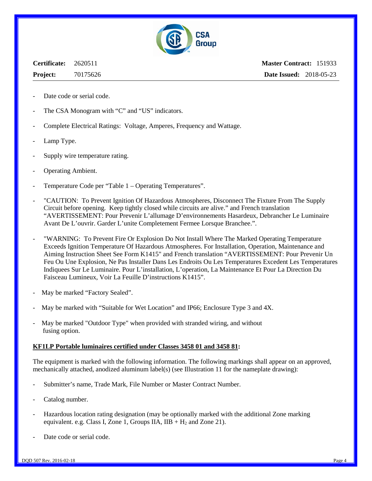

**Certificate:** 2620511 **Project:** 70175626

**Master Contract:** 151933 **Date Issued:** 2018-05-23

- Date code or serial code.
- The CSA Monogram with "C" and "US" indicators.
- Complete Electrical Ratings: Voltage, Amperes, Frequency and Wattage.
- Lamp Type.
- Supply wire temperature rating.
- Operating Ambient.
- Temperature Code per "Table 1 Operating Temperatures".
- "CAUTION: To Prevent Ignition Of Hazardous Atmospheres, Disconnect The Fixture From The Supply Circuit before opening. Keep tightly closed while circuits are alive." and French translation "AVERTISSEMENT: Pour Prevenir L'allumage D'environnements Hasardeux, Debrancher Le Luminaire Avant De L'ouvrir. Garder L'unite Completement Fermee Lorsque Branchee.".
- "WARNING: To Prevent Fire Or Explosion Do Not Install Where The Marked Operating Temperature Exceeds Ignition Temperature Of Hazardous Atmospheres. For Installation, Operation, Maintenance and Aiming Instruction Sheet See Form K1415" and French translation "AVERTISSEMENT: Pour Prevenir Un Feu Ou Une Explosion, Ne Pas Installer Dans Les Endroits Ou Les Temperatures Excedent Les Temperatures Indiquees Sur Le Luminaire. Pour L'installation, L'operation, La Maintenance Et Pour La Direction Du Faisceau Lumineux, Voir La Feuille D'instructions K1415".
- May be marked "Factory Sealed".
- May be marked with "Suitable for Wet Location" and IP66; Enclosure Type 3 and 4X.
- May be marked "Outdoor Type" when provided with stranded wiring, and without fusing option.

#### **KF1LP Portable luminaires certified under Classes 3458 01 and 3458 81:**

The equipment is marked with the following information. The following markings shall appear on an approved, mechanically attached, anodized aluminum label(s) (see Illustration 11 for the nameplate drawing):

- Submitter's name, Trade Mark, File Number or Master Contract Number.
- Catalog number.
- Hazardous location rating designation (may be optionally marked with the additional Zone marking equivalent. e.g. Class I, Zone 1, Groups IIA,  $IIB + H_2$  and Zone 21).
- Date code or serial code.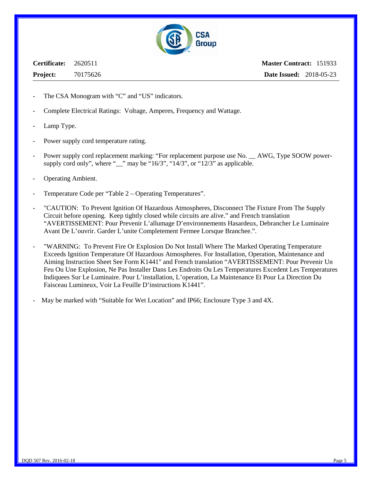

**Certificate:** 2620511 **Project:** 70175626

**Master Contract:** 151933 **Date Issued:** 2018-05-23

- The CSA Monogram with "C" and "US" indicators.
- Complete Electrical Ratings: Voltage, Amperes, Frequency and Wattage.
- Lamp Type.
- Power supply cord temperature rating.
- Power supply cord replacement marking: "For replacement purpose use No. \_\_ AWG, Type SOOW powersupply cord only", where " $\equiv$ " may be "16/3", "14/3", or "12/3" as applicable.
- Operating Ambient.
- Temperature Code per "Table 2 Operating Temperatures".
- "CAUTION: To Prevent Ignition Of Hazardous Atmospheres, Disconnect The Fixture From The Supply Circuit before opening. Keep tightly closed while circuits are alive." and French translation "AVERTISSEMENT: Pour Prevenir L'allumage D'environnements Hasardeux, Debrancher Le Luminaire Avant De L'ouvrir. Garder L'unite Completement Fermee Lorsque Branchee.".
- "WARNING: To Prevent Fire Or Explosion Do Not Install Where The Marked Operating Temperature Exceeds Ignition Temperature Of Hazardous Atmospheres. For Installation, Operation, Maintenance and Aiming Instruction Sheet See Form K1441" and French translation "AVERTISSEMENT: Pour Prevenir Un Feu Ou Une Explosion, Ne Pas Installer Dans Les Endroits Ou Les Temperatures Excedent Les Temperatures Indiquees Sur Le Luminaire. Pour L'installation, L'operation, La Maintenance Et Pour La Direction Du Faisceau Lumineux, Voir La Feuille D'instructions K1441".
- May be marked with "Suitable for Wet Location" and IP66; Enclosure Type 3 and 4X.